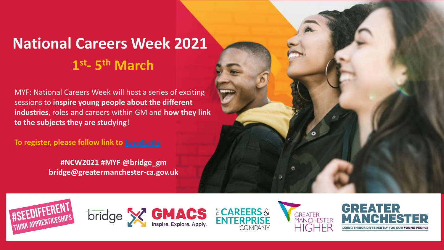# **National Careers Week 2021 1 st - 5 th March**

MYF: National Careers Week will host a series of exciting sessions to **inspire young people about the different industries**, roles and careers within GM and **how they link to the subjects they are studying**!

**To register, please follow link to [Eventbrite](https://www.eventbrite.co.uk/e/meet-your-future-national-careers-week-gm-2021-tickets-142074979087)**

**#NCW2021 #MYF @bridge\_gm bridge@greatermanchester-ca.gov.uk**













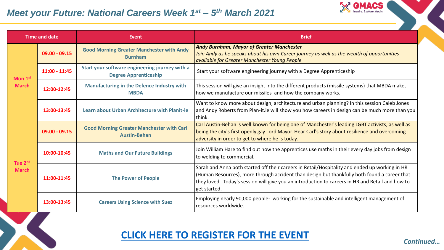#### *Meet your Future: National Careers Week 1<sup>st</sup> – 5<sup>th</sup> March 2021*

X



| <b>Time and date</b>                |                 | Event                                                                          | <b>Brief</b>                                                                                                                                                                                                                                                                                                       |
|-------------------------------------|-----------------|--------------------------------------------------------------------------------|--------------------------------------------------------------------------------------------------------------------------------------------------------------------------------------------------------------------------------------------------------------------------------------------------------------------|
| Mon 1st<br><b>March</b>             | $09.00 - 09.15$ | <b>Good Morning Greater Manchester with Andy</b><br><b>Burnham</b>             | <b>Andy Burnham, Mayor of Greater Manchester</b><br>Join Andy as he speaks about his own Career journey as well as the wealth of opportunities<br>available for Greater Manchester Young People                                                                                                                    |
|                                     | $11:00 - 11:45$ | Start your software engineering journey with a<br><b>Degree Apprenticeship</b> | Start your software engineering journey with a Degree Apprenticeship                                                                                                                                                                                                                                               |
|                                     | 12:00-12:45     | <b>Manufacturing in the Defence Industry with</b><br><b>MBDA</b>               | This session will give an insight into the different products (missile systems) that MBDA make,<br>how we manufacture our missiles and how the company works.                                                                                                                                                      |
|                                     | 13:00-13:45     | Learn about Urban Architecture with Planit-ie                                  | Want to know more about design, architecture and urban planning? In this session Caleb Jones<br>and Andy Roberts from Plan-it.ie will show you how careers in design can be much more than you<br>think.                                                                                                           |
| Tue 2 <sup>nd</sup><br><b>March</b> | $09.00 - 09.15$ | <b>Good Morning Greater Manchester with Carl</b><br><b>Austin-Behan</b>        | Carl Austin-Behan is well known for being one of Manchester's leading LGBT activists, as well as<br>being the city's first openly gay Lord Mayor. Hear Carl's story about resilience and overcoming<br>adversity in order to get to where he is today.                                                             |
|                                     | 10:00-10:45     | <b>Maths and Our Future Buildings</b>                                          | Join William Hare to find out how the apprentices use maths in their every day jobs from design<br>to welding to commercial.                                                                                                                                                                                       |
|                                     | 11:00-11:45     | <b>The Power of People</b>                                                     | Sarah and Anna both started off their careers in Retail/Hospitality and ended up working in HR<br>(Human Resources), more through accident than design but thankfully both found a career that<br>they loved. Today's session will give you an introduction to careers in HR and Retail and how to<br>get started. |
|                                     | 13:00-13:45     | <b>Careers Using Science with Suez</b>                                         | Employing nearly 90,000 people- working for the sustainable and intelligent management of<br>resources worldwide.                                                                                                                                                                                                  |

## **[CLICK HERE TO REGISTER FOR THE EVENT](https://www.eventbrite.co.uk/e/meet-your-future-national-careers-week-gm-2021-tickets-142074979087)**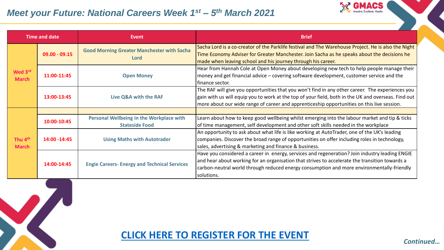#### *Meet your Future: National Careers Week 1<sup>st</sup> – 5<sup>th</sup> March 2021*



| <b>Time and date</b>                |                 | Event                                                             | <b>Brief</b>                                                                                                                                                                                                                                                                                                |
|-------------------------------------|-----------------|-------------------------------------------------------------------|-------------------------------------------------------------------------------------------------------------------------------------------------------------------------------------------------------------------------------------------------------------------------------------------------------------|
| Wed 3rd<br><b>March</b>             | $09.00 - 09.15$ | <b>Good Morning Greater Manchester with Sacha</b><br>Lord         | Sacha Lord is a co-creator of the Parklife festival and The Warehouse Project. He is also the Night<br>Time Economy Adviser for Greater Manchester. Join Sacha as he speaks about the decisions he<br>made when leaving school and his journey through his career.                                          |
|                                     | 11:00-11:45     | <b>Open Money</b>                                                 | Hear from Hannah Cole at Open Money about developing new tech to help people manage their<br>money and get financial advice - covering software development, customer service and the<br>finance sector.                                                                                                    |
|                                     | 13:00-13:45     | Live Q&A with the RAF                                             | The RAF will give you opportunities that you won't find in any other career. The experiences you<br>gain with us will equip you to work at the top of your field, both in the UK and overseas. Find out<br>more about our wide range of career and apprenticeship opportunities on this live session.       |
| Thu 4 <sup>th</sup><br><b>March</b> |                 |                                                                   |                                                                                                                                                                                                                                                                                                             |
|                                     | 10:00-10:45     | Personal Wellbeing in the Workplace with<br><b>Stateside Food</b> | Learn about how to keep good wellbeing whilst emerging into the labour market and tip & ticks<br>of time management, self development and other soft skills needed in the workplace                                                                                                                         |
|                                     | 14:00 - 14:45   | <b>Using Maths with Autotrader</b>                                | An opportunity to ask about what life is like working at AutoTrader, one of the UK's leading<br>companies. Discover the broad range of opportunities on offer including roles in technology,<br>sales, advertising & marketing and finance & business.                                                      |
|                                     | 14:00-14:45     | <b>Engie Careers- Energy and Technical Services</b>               | Have you considered a career in energy, services and regeneration? Join industry leading ENGIE<br>and hear about working for an organisation that strives to accelerate the transition towards a<br>carbon-neutral world through reduced energy consumption and more environmentally-friendly<br>solutions. |

# **[CLICK HERE TO REGISTER FOR THE EVENT](https://www.eventbrite.co.uk/e/meet-your-future-national-careers-week-gm-2021-tickets-142074979087)**

*Continued…*